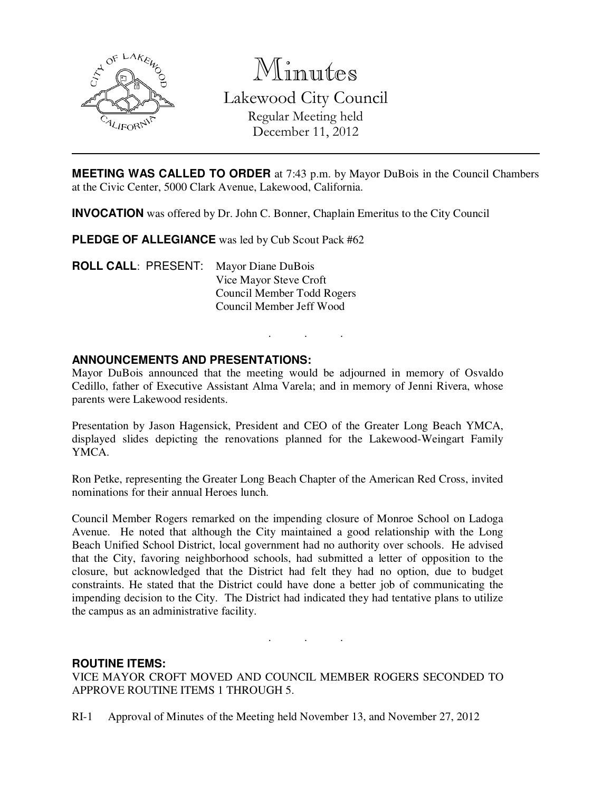

Minutes Lakewood City Council Regular Meeting held December 11, 2012

**MEETING WAS CALLED TO ORDER** at 7:43 p.m. by Mayor DuBois in the Council Chambers at the Civic Center, 5000 Clark Avenue, Lakewood, California.

**INVOCATION** was offered by Dr. John C. Bonner, Chaplain Emeritus to the City Council

**PLEDGE OF ALLEGIANCE** was led by Cub Scout Pack #62

**ROLL CALL**: PRESENT: Mayor Diane DuBois Vice Mayor Steve Croft Council Member Todd Rogers Council Member Jeff Wood

#### **ANNOUNCEMENTS AND PRESENTATIONS:**

Mayor DuBois announced that the meeting would be adjourned in memory of Osvaldo Cedillo, father of Executive Assistant Alma Varela; and in memory of Jenni Rivera, whose parents were Lakewood residents.

. . .

Presentation by Jason Hagensick, President and CEO of the Greater Long Beach YMCA, displayed slides depicting the renovations planned for the Lakewood-Weingart Family YMCA.

Ron Petke, representing the Greater Long Beach Chapter of the American Red Cross, invited nominations for their annual Heroes lunch.

Council Member Rogers remarked on the impending closure of Monroe School on Ladoga Avenue. He noted that although the City maintained a good relationship with the Long Beach Unified School District, local government had no authority over schools. He advised that the City, favoring neighborhood schools, had submitted a letter of opposition to the closure, but acknowledged that the District had felt they had no option, due to budget constraints. He stated that the District could have done a better job of communicating the impending decision to the City. The District had indicated they had tentative plans to utilize the campus as an administrative facility.

. . .

# **ROUTINE ITEMS:**

VICE MAYOR CROFT MOVED AND COUNCIL MEMBER ROGERS SECONDED TO APPROVE ROUTINE ITEMS 1 THROUGH 5.

RI-1 Approval of Minutes of the Meeting held November 13, and November 27, 2012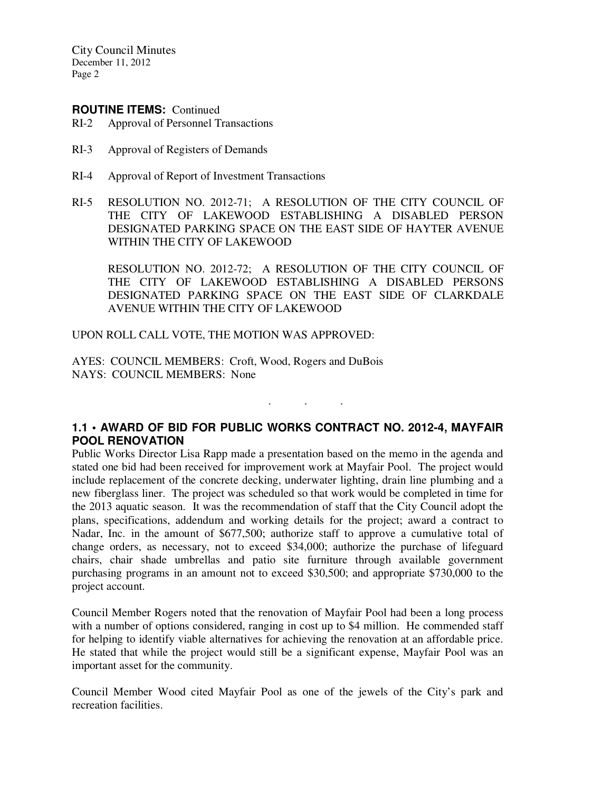City Council Minutes December 11, 2012 Page 2

#### **ROUTINE ITEMS:** Continued

- RI-2 Approval of Personnel Transactions
- RI-3 Approval of Registers of Demands
- RI-4 Approval of Report of Investment Transactions
- RI-5 RESOLUTION NO. 2012-71; A RESOLUTION OF THE CITY COUNCIL OF THE CITY OF LAKEWOOD ESTABLISHING A DISABLED PERSON DESIGNATED PARKING SPACE ON THE EAST SIDE OF HAYTER AVENUE WITHIN THE CITY OF LAKEWOOD

 RESOLUTION NO. 2012-72; A RESOLUTION OF THE CITY COUNCIL OF THE CITY OF LAKEWOOD ESTABLISHING A DISABLED PERSONS DESIGNATED PARKING SPACE ON THE EAST SIDE OF CLARKDALE AVENUE WITHIN THE CITY OF LAKEWOOD

. . .

UPON ROLL CALL VOTE, THE MOTION WAS APPROVED:

AYES: COUNCIL MEMBERS: Croft, Wood, Rogers and DuBois NAYS: COUNCIL MEMBERS: None

# **1.1 • AWARD OF BID FOR PUBLIC WORKS CONTRACT NO. 2012-4, MAYFAIR POOL RENOVATION**

Public Works Director Lisa Rapp made a presentation based on the memo in the agenda and stated one bid had been received for improvement work at Mayfair Pool. The project would include replacement of the concrete decking, underwater lighting, drain line plumbing and a new fiberglass liner. The project was scheduled so that work would be completed in time for the 2013 aquatic season. It was the recommendation of staff that the City Council adopt the plans, specifications, addendum and working details for the project; award a contract to Nadar, Inc. in the amount of \$677,500; authorize staff to approve a cumulative total of change orders, as necessary, not to exceed \$34,000; authorize the purchase of lifeguard chairs, chair shade umbrellas and patio site furniture through available government purchasing programs in an amount not to exceed \$30,500; and appropriate \$730,000 to the project account.

Council Member Rogers noted that the renovation of Mayfair Pool had been a long process with a number of options considered, ranging in cost up to \$4 million. He commended staff for helping to identify viable alternatives for achieving the renovation at an affordable price. He stated that while the project would still be a significant expense, Mayfair Pool was an important asset for the community.

Council Member Wood cited Mayfair Pool as one of the jewels of the City's park and recreation facilities.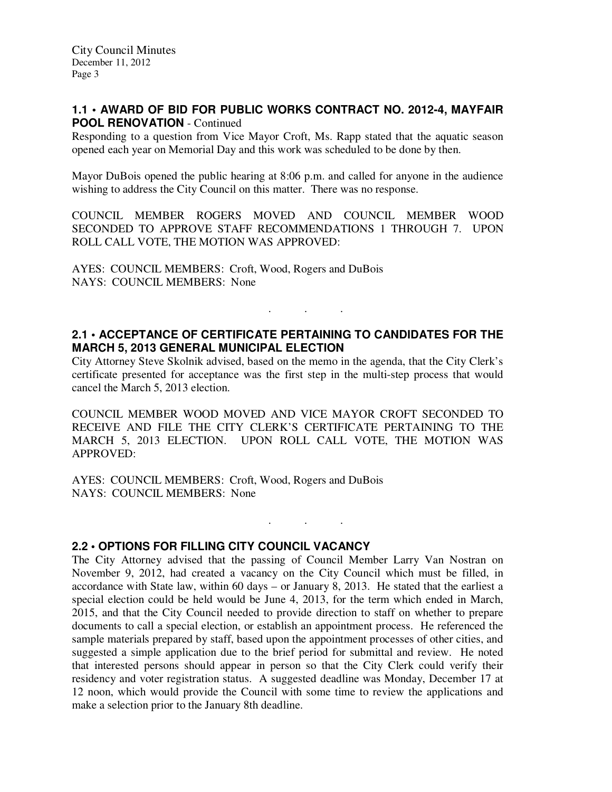# **1.1 • AWARD OF BID FOR PUBLIC WORKS CONTRACT NO. 2012-4, MAYFAIR POOL RENOVATION** - Continued

Responding to a question from Vice Mayor Croft, Ms. Rapp stated that the aquatic season opened each year on Memorial Day and this work was scheduled to be done by then.

Mayor DuBois opened the public hearing at 8:06 p.m. and called for anyone in the audience wishing to address the City Council on this matter. There was no response.

COUNCIL MEMBER ROGERS MOVED AND COUNCIL MEMBER WOOD SECONDED TO APPROVE STAFF RECOMMENDATIONS 1 THROUGH 7. UPON ROLL CALL VOTE, THE MOTION WAS APPROVED:

AYES: COUNCIL MEMBERS: Croft, Wood, Rogers and DuBois NAYS: COUNCIL MEMBERS: None

# **2.1 • ACCEPTANCE OF CERTIFICATE PERTAINING TO CANDIDATES FOR THE MARCH 5, 2013 GENERAL MUNICIPAL ELECTION**

. . .

City Attorney Steve Skolnik advised, based on the memo in the agenda, that the City Clerk's certificate presented for acceptance was the first step in the multi-step process that would cancel the March 5, 2013 election.

COUNCIL MEMBER WOOD MOVED AND VICE MAYOR CROFT SECONDED TO RECEIVE AND FILE THE CITY CLERK'S CERTIFICATE PERTAINING TO THE MARCH 5, 2013 ELECTION. UPON ROLL CALL VOTE, THE MOTION WAS APPROVED:

 $\mathbf{r}$  .  $\mathbf{r}$  ,  $\mathbf{r}$  ,  $\mathbf{r}$  ,  $\mathbf{r}$  ,  $\mathbf{r}$ 

AYES: COUNCIL MEMBERS: Croft, Wood, Rogers and DuBois NAYS: COUNCIL MEMBERS: None

# **2.2 • OPTIONS FOR FILLING CITY COUNCIL VACANCY**

The City Attorney advised that the passing of Council Member Larry Van Nostran on November 9, 2012, had created a vacancy on the City Council which must be filled, in accordance with State law, within 60 days – or January 8, 2013. He stated that the earliest a special election could be held would be June 4, 2013, for the term which ended in March, 2015, and that the City Council needed to provide direction to staff on whether to prepare documents to call a special election, or establish an appointment process. He referenced the sample materials prepared by staff, based upon the appointment processes of other cities, and suggested a simple application due to the brief period for submittal and review. He noted that interested persons should appear in person so that the City Clerk could verify their residency and voter registration status. A suggested deadline was Monday, December 17 at 12 noon, which would provide the Council with some time to review the applications and make a selection prior to the January 8th deadline.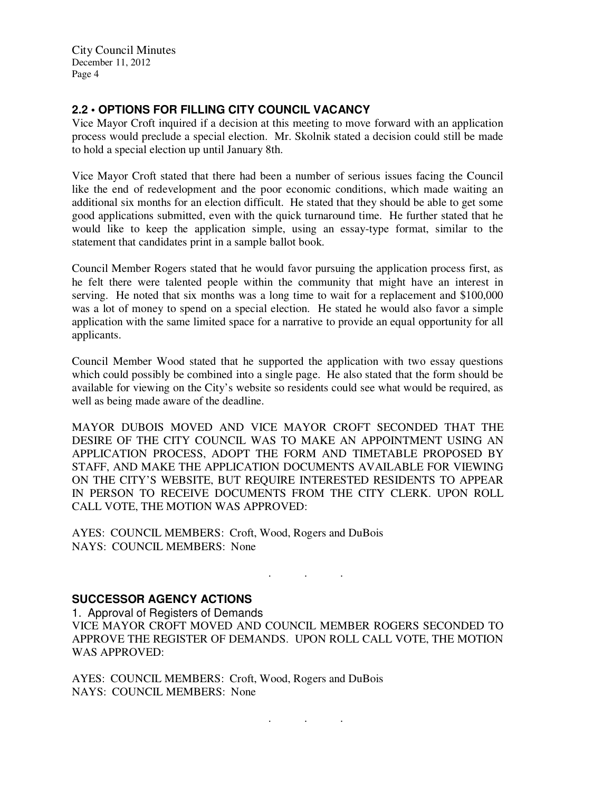City Council Minutes December 11, 2012 Page 4

# **2.2 • OPTIONS FOR FILLING CITY COUNCIL VACANCY**

Vice Mayor Croft inquired if a decision at this meeting to move forward with an application process would preclude a special election. Mr. Skolnik stated a decision could still be made to hold a special election up until January 8th.

Vice Mayor Croft stated that there had been a number of serious issues facing the Council like the end of redevelopment and the poor economic conditions, which made waiting an additional six months for an election difficult. He stated that they should be able to get some good applications submitted, even with the quick turnaround time. He further stated that he would like to keep the application simple, using an essay-type format, similar to the statement that candidates print in a sample ballot book.

Council Member Rogers stated that he would favor pursuing the application process first, as he felt there were talented people within the community that might have an interest in serving. He noted that six months was a long time to wait for a replacement and \$100,000 was a lot of money to spend on a special election. He stated he would also favor a simple application with the same limited space for a narrative to provide an equal opportunity for all applicants.

Council Member Wood stated that he supported the application with two essay questions which could possibly be combined into a single page. He also stated that the form should be available for viewing on the City's website so residents could see what would be required, as well as being made aware of the deadline.

MAYOR DUBOIS MOVED AND VICE MAYOR CROFT SECONDED THAT THE DESIRE OF THE CITY COUNCIL WAS TO MAKE AN APPOINTMENT USING AN APPLICATION PROCESS, ADOPT THE FORM AND TIMETABLE PROPOSED BY STAFF, AND MAKE THE APPLICATION DOCUMENTS AVAILABLE FOR VIEWING ON THE CITY'S WEBSITE, BUT REQUIRE INTERESTED RESIDENTS TO APPEAR IN PERSON TO RECEIVE DOCUMENTS FROM THE CITY CLERK. UPON ROLL CALL VOTE, THE MOTION WAS APPROVED:

AYES: COUNCIL MEMBERS: Croft, Wood, Rogers and DuBois NAYS: COUNCIL MEMBERS: None

# **SUCCESSOR AGENCY ACTIONS**

1. Approval of Registers of Demands VICE MAYOR CROFT MOVED AND COUNCIL MEMBER ROGERS SECONDED TO APPROVE THE REGISTER OF DEMANDS. UPON ROLL CALL VOTE, THE MOTION WAS APPROVED:

AYES: COUNCIL MEMBERS: Croft, Wood, Rogers and DuBois NAYS: COUNCIL MEMBERS: None

. . .